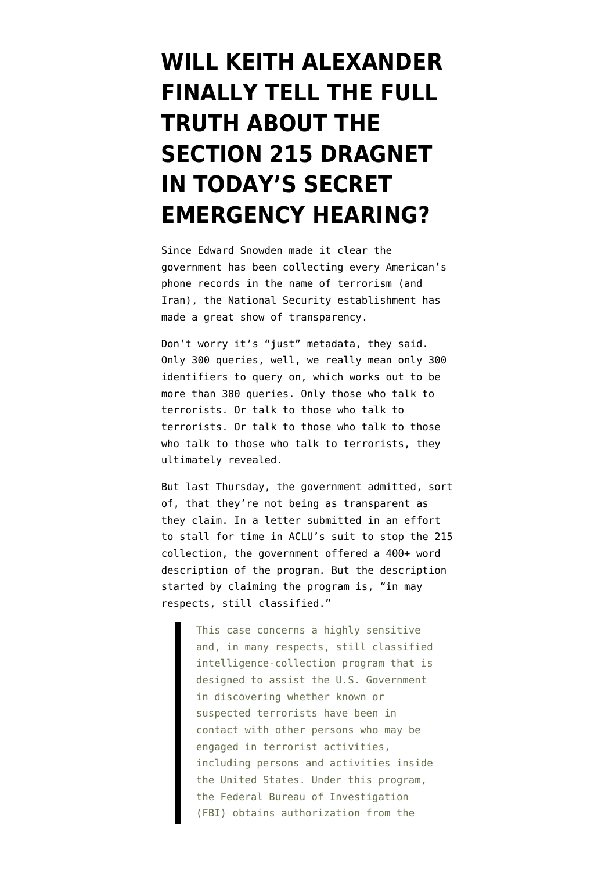## **[WILL KEITH ALEXANDER](https://www.emptywheel.net/2013/07/23/will-keith-alexander-finally-tell-the-truth-about-the-section-215-dragnet-in-todays-secret-emergency-hearing/) [FINALLY TELL THE FULL](https://www.emptywheel.net/2013/07/23/will-keith-alexander-finally-tell-the-truth-about-the-section-215-dragnet-in-todays-secret-emergency-hearing/) [TRUTH ABOUT THE](https://www.emptywheel.net/2013/07/23/will-keith-alexander-finally-tell-the-truth-about-the-section-215-dragnet-in-todays-secret-emergency-hearing/) [SECTION 215 DRAGNET](https://www.emptywheel.net/2013/07/23/will-keith-alexander-finally-tell-the-truth-about-the-section-215-dragnet-in-todays-secret-emergency-hearing/) [IN TODAY'S SECRET](https://www.emptywheel.net/2013/07/23/will-keith-alexander-finally-tell-the-truth-about-the-section-215-dragnet-in-todays-secret-emergency-hearing/) [EMERGENCY HEARING?](https://www.emptywheel.net/2013/07/23/will-keith-alexander-finally-tell-the-truth-about-the-section-215-dragnet-in-todays-secret-emergency-hearing/)**

Since Edward Snowden made it clear the government has been collecting every American's phone records in the name of terrorism ([and](http://www.emptywheel.net/2013/06/12/breaking-iran-is-a-terrorist-organization/) [Iran](http://www.emptywheel.net/2013/06/12/breaking-iran-is-a-terrorist-organization/)), the National Security establishment has made a great show of transparency.

Don't worry it's "just" metadata, they said. Only 300 queries, well, we really mean only 300 identifiers to query on, which works out to be more than 300 queries. Only those who talk to terrorists. Or talk to those who talk to terrorists. [Or talk to those who talk to those](http://www.emptywheel.net/2013/07/18/nsa-the-half-bacon-agency/) [who talk to those who talk to terrorists,](http://www.emptywheel.net/2013/07/18/nsa-the-half-bacon-agency/) they ultimately revealed.

But last Thursday, the government admitted, sort of, that they're not being as transparent as they claim. In a [letter](https://www.aclu.org/files/assets/2013.07.18_govt_pre-motion_ltr_to_court.pdf) submitted in an effort to stall for time in ACLU's suit to stop the 215 collection, the government offered a 400+ word description of the program. But the description started by claiming the program is, "in may respects, still classified."

> This case concerns a highly sensitive and, in many respects, still classified intelligence-collection program that is designed to assist the U.S. Government in discovering whether known or suspected terrorists have been in contact with other persons who may be engaged in terrorist activities, including persons and activities inside the United States. Under this program, the Federal Bureau of Investigation (FBI) obtains authorization from the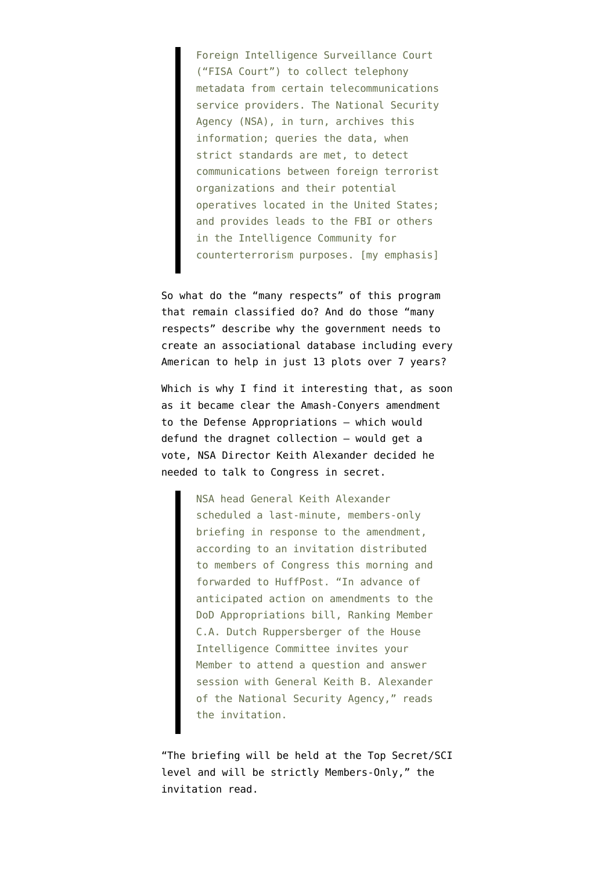Foreign Intelligence Surveillance Court ("FISA Court") to collect telephony metadata from certain telecommunications service providers. The National Security Agency (NSA), in turn, archives this information; queries the data, when strict standards are met, to detect communications between foreign terrorist organizations and their potential operatives located in the United States; and provides leads to the FBI or others in the Intelligence Community for counterterrorism purposes. [my emphasis]

So what do the "many respects" of this program that remain classified do? And do those "many respects" describe why the government needs to create an associational database including every American to help in just 13 plots over 7 years?

Which is why I find it interesting that, as soon as it became clear the Amash-Conyers amendment to the Defense Appropriations — which would defund the dragnet collection — would get a vote, NSA Director Keith Alexander [decided](http://www.huffingtonpost.com/2013/07/23/keith-alexander-justin-amash_n_3639329.html?utm_hp_ref=tw) he needed to talk to Congress in secret.

> NSA head General Keith Alexander scheduled a last-minute, members-only briefing in response to the amendment, according to an invitation distributed to members of Congress this morning and forwarded to HuffPost. "In advance of anticipated action on amendments to the DoD Appropriations bill, Ranking Member C.A. Dutch Ruppersberger of the House Intelligence Committee invites your Member to attend a question and answer session with General Keith B. Alexander of the National Security Agency," reads the invitation.

"The briefing will be held at the Top Secret/SCI level and will be strictly Members-Only," the invitation read.